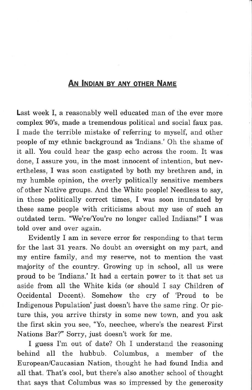## **AN INDIAN BY ANY OTHER NAME**

Last week I, a reasonably well educated man of the ever more complex 90's, made a tremendous political and social faux pas. I made the terrible mistake of referring to myself, and other people of my ethnic background as 'Indians.' Oh the shame of it all. You could hear the gasp echo across the room. It was done, I assure you, in the most innocent of intention, but nevertheless, I was soon castigated by both my brethren and, in my humble opinion, the overly politically sensitive members of other Native groups. And the White people! Needless to say, in these politically correct times, I was soon inundated by these same people with criticisms about my use of such an outdated term. "We're/You're no longer called Indians!" I was told over and over again.

Evidently I am in severe error for responding to that term for the last 31 years. No doubt an oversight on my part, and my entire family, and my reserve, not to mention the vast majority of the country. Growing up in school, all us were proud to be 'Indians.' It had a certain power to it that set us aside from all the White kids (or should I say Children of Occidental Decent). Somehow the cry of 'Proud to be Indigenous Population' just doesn't have the same ring. Or picture this, you arrive thirsty in some new town, and you ask the first skin you see, "Yo, neechee, where's the nearest First Nations Bar?" Sorry, just doesn't work for me.

I guess I'm out of date? Oh I understand the reasoning behind all the hubbub. Columbus, a member of the European/Caucasian Nation, thought he had found India and all that. That's cool, but there's also another school of thought that says that Columbus was so impressed by the generosity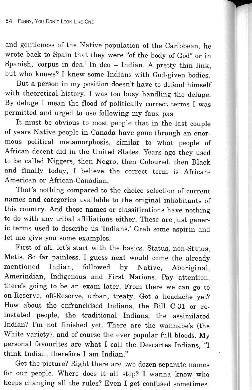and gentleness of the Native population of the Caribbean, he wrote back to Spain that they were "of the body of God" or in Spanish, 'corpus in dea.' In deo - Indian. A pretty thin link, but who knows? I knew some Indians with God-given bodies.

But a person in my position doesn't have to defend himself with theoretical history. I was too busy handling the deluge. By deluge I mean the flood of politically correct terms I was permitted and urged to use following my faux pas.

It must be obvious to most people that in the last couple of years Native people in Canada have gone through an enormous political metamorphosis, similar to what people of African decent did in the United States. Years ago they used to be called Niggers, then Negro, then Coloured, then Black and finally today, I believe the correct term is African-American or African-Canadian.

That's nothing compared to the choice selection of current names and categories available to the original inhabitants of this country. And these names or classifications have nothing to do with any tribal affiliations either. These are just generic terms used to describe us 'Indians.' Grab some aspirin and let me give you some examples.

First of all, let's start with the basics. Status, non-Status, Metis. So far painless. I guess next would come the already mentioned Indian, followed by Native, Aboriginal, Amerindian, Indigenous and First Nations. Pay attention, there's going to be an exam later. From there we can go to on-Reserve, off-Reserve, urban, treaty. Got a headache yet? How about the enfranchised Indians, the Bill C-31 or reinstated people, the traditional Indians, the assimilated Indian? I'm not finished yet. There are the wannabe's (the White variety), and of course the ever popular full bloods. My personal favourites are what I call the Descartes Indians, "I think Indian, therefore I am Indian."

Get the picture? Right there are two dozen separate names for our people. Where does it all stop? I wanna know who keeps changing all the rules? Even I get confused sometimes.